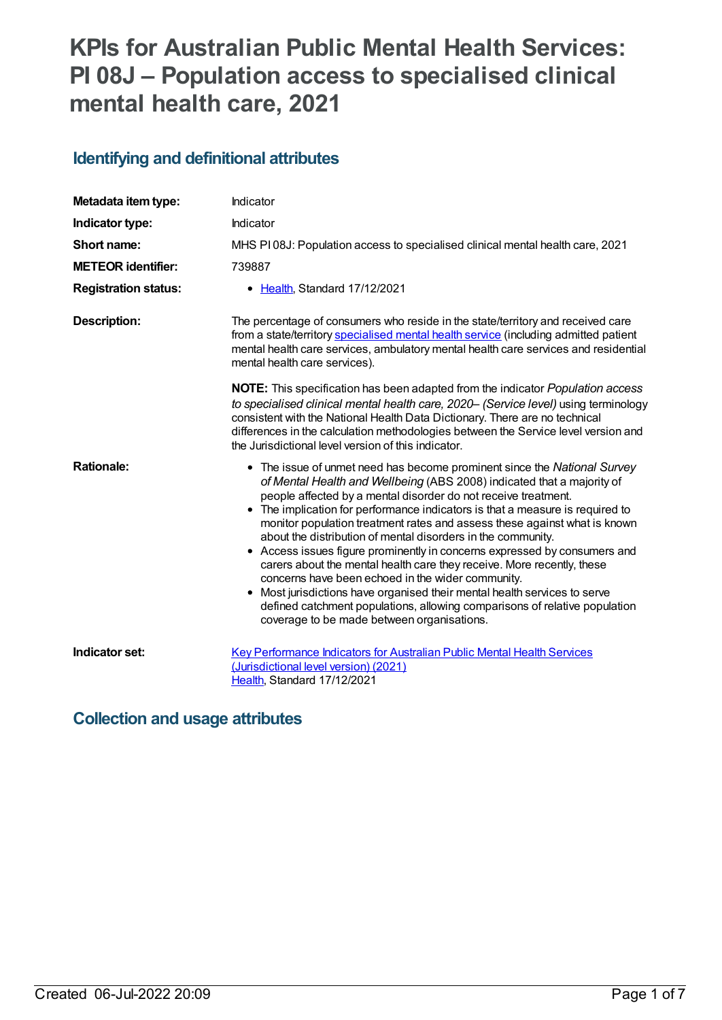# **KPIs for Australian Public Mental Health Services: PI 08J – Population access to specialised clinical mental health care, 2021**

# **Identifying and definitional attributes**

| Metadata item type:         | Indicator                                                                                                                                                                                                                                                                                                                                                                                                                                                                                                                                                                                                                                                                                                                                                                                                                                                               |
|-----------------------------|-------------------------------------------------------------------------------------------------------------------------------------------------------------------------------------------------------------------------------------------------------------------------------------------------------------------------------------------------------------------------------------------------------------------------------------------------------------------------------------------------------------------------------------------------------------------------------------------------------------------------------------------------------------------------------------------------------------------------------------------------------------------------------------------------------------------------------------------------------------------------|
| Indicator type:             | Indicator                                                                                                                                                                                                                                                                                                                                                                                                                                                                                                                                                                                                                                                                                                                                                                                                                                                               |
| Short name:                 | MHS PI08J: Population access to specialised clinical mental health care, 2021                                                                                                                                                                                                                                                                                                                                                                                                                                                                                                                                                                                                                                                                                                                                                                                           |
| <b>METEOR identifier:</b>   | 739887                                                                                                                                                                                                                                                                                                                                                                                                                                                                                                                                                                                                                                                                                                                                                                                                                                                                  |
| <b>Registration status:</b> | • Health, Standard 17/12/2021                                                                                                                                                                                                                                                                                                                                                                                                                                                                                                                                                                                                                                                                                                                                                                                                                                           |
| <b>Description:</b>         | The percentage of consumers who reside in the state/territory and received care<br>from a state/territory specialised mental health service (including admitted patient<br>mental health care services, ambulatory mental health care services and residential<br>mental health care services).                                                                                                                                                                                                                                                                                                                                                                                                                                                                                                                                                                         |
|                             | <b>NOTE:</b> This specification has been adapted from the indicator <i>Population access</i><br>to specialised clinical mental health care, 2020- (Service level) using terminology<br>consistent with the National Health Data Dictionary. There are no technical<br>differences in the calculation methodologies between the Service level version and<br>the Jurisdictional level version of this indicator.                                                                                                                                                                                                                                                                                                                                                                                                                                                         |
| <b>Rationale:</b>           | • The issue of unmet need has become prominent since the National Survey<br>of Mental Health and Wellbeing (ABS 2008) indicated that a majority of<br>people affected by a mental disorder do not receive treatment.<br>• The implication for performance indicators is that a measure is required to<br>monitor population treatment rates and assess these against what is known<br>about the distribution of mental disorders in the community.<br>• Access issues figure prominently in concerns expressed by consumers and<br>carers about the mental health care they receive. More recently, these<br>concerns have been echoed in the wider community.<br>• Most jurisdictions have organised their mental health services to serve<br>defined catchment populations, allowing comparisons of relative population<br>coverage to be made between organisations. |
| Indicator set:              | Key Performance Indicators for Australian Public Mental Health Services<br>(Jurisdictional level version) (2021)<br>Health, Standard 17/12/2021                                                                                                                                                                                                                                                                                                                                                                                                                                                                                                                                                                                                                                                                                                                         |

## **Collection and usage attributes**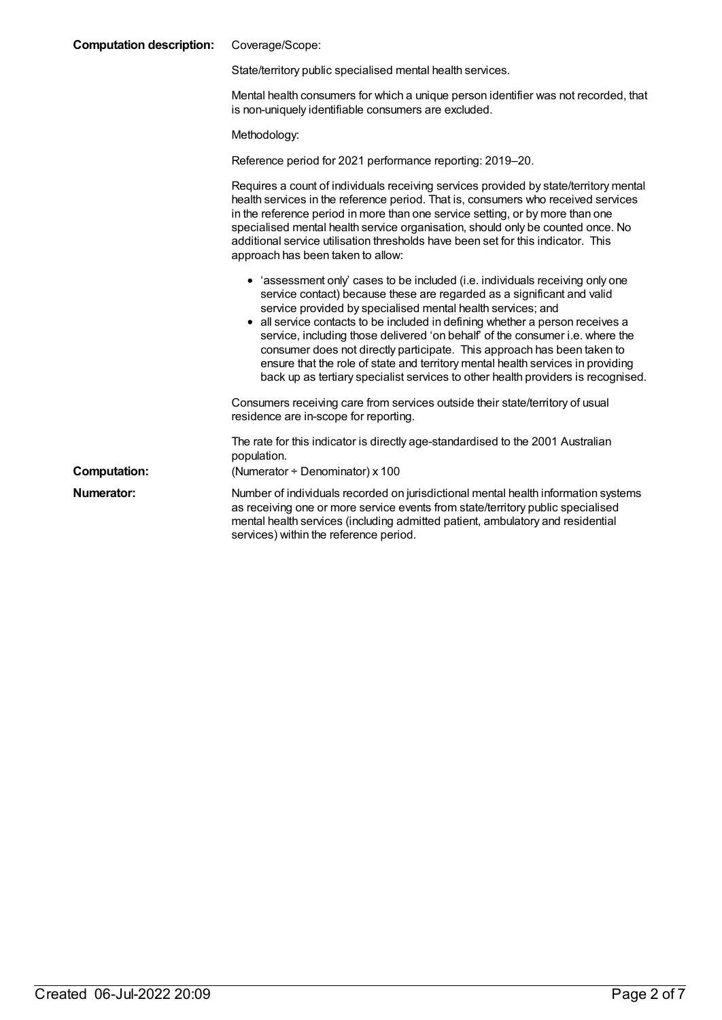| <b>Computation description:</b> | Coverage/Scope:                                                                                                                                                                                                                                                                                                                                                                                                                                                                                                                                                                                                                            |  |
|---------------------------------|--------------------------------------------------------------------------------------------------------------------------------------------------------------------------------------------------------------------------------------------------------------------------------------------------------------------------------------------------------------------------------------------------------------------------------------------------------------------------------------------------------------------------------------------------------------------------------------------------------------------------------------------|--|
|                                 | State/territory public specialised mental health services.                                                                                                                                                                                                                                                                                                                                                                                                                                                                                                                                                                                 |  |
|                                 | Mental health consumers for which a unique person identifier was not recorded, that<br>is non-uniquely identifiable consumers are excluded.                                                                                                                                                                                                                                                                                                                                                                                                                                                                                                |  |
|                                 | Methodology:                                                                                                                                                                                                                                                                                                                                                                                                                                                                                                                                                                                                                               |  |
|                                 | Reference period for 2021 performance reporting: 2019–20.                                                                                                                                                                                                                                                                                                                                                                                                                                                                                                                                                                                  |  |
|                                 | Requires a count of individuals receiving services provided by state/territory mental<br>health services in the reference period. That is, consumers who received services<br>in the reference period in more than one service setting, or by more than one<br>specialised mental health service organisation, should only be counted once. No<br>additional service utilisation thresholds have been set for this indicator. This<br>approach has been taken to allow:                                                                                                                                                                    |  |
|                                 | • 'assessment only' cases to be included (i.e. individuals receiving only one<br>service contact) because these are regarded as a significant and valid<br>service provided by specialised mental health services; and<br>• all service contacts to be included in defining whether a person receives a<br>service, including those delivered 'on behalf' of the consumer i.e. where the<br>consumer does not directly participate. This approach has been taken to<br>ensure that the role of state and territory mental health services in providing<br>back up as tertiary specialist services to other health providers is recognised. |  |
|                                 | Consumers receiving care from services outside their state/territory of usual<br>residence are in-scope for reporting.                                                                                                                                                                                                                                                                                                                                                                                                                                                                                                                     |  |
|                                 | The rate for this indicator is directly age-standardised to the 2001 Australian<br>population.                                                                                                                                                                                                                                                                                                                                                                                                                                                                                                                                             |  |
| <b>Computation:</b>             | (Numerator $\div$ Denominator) x 100                                                                                                                                                                                                                                                                                                                                                                                                                                                                                                                                                                                                       |  |
| Numerator:                      | Number of individuals recorded on jurisdictional mental health information systems<br>as receiving one or more service events from state/territory public specialised<br>mental health services (including admitted patient, ambulatory and residential<br>services) within the reference period.                                                                                                                                                                                                                                                                                                                                          |  |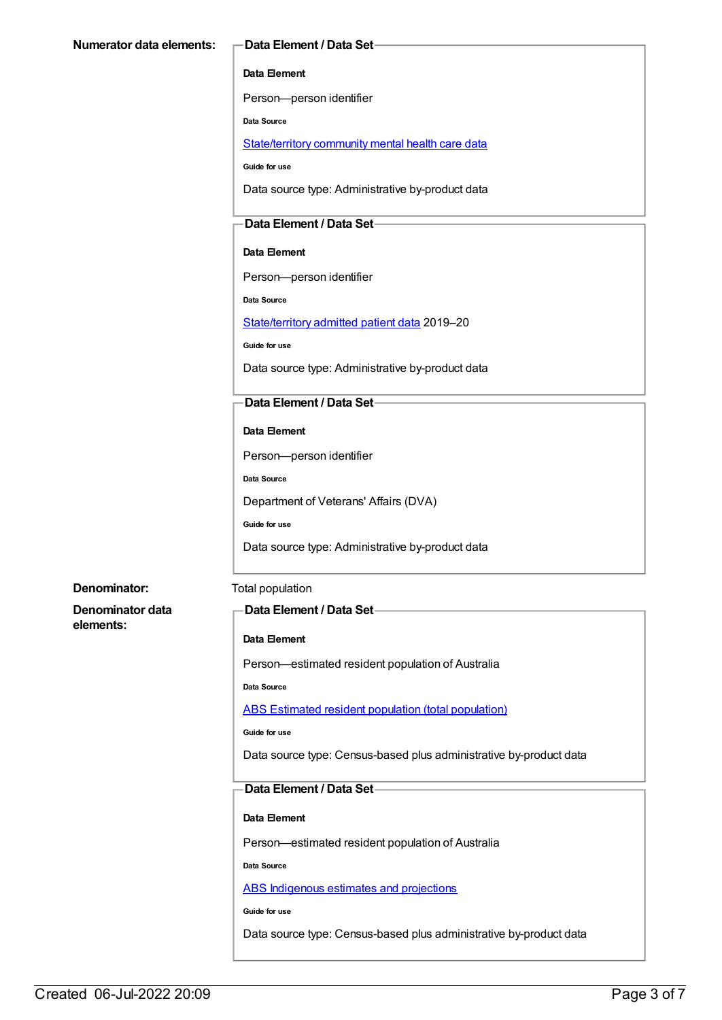#### **Data Element**

Person—person identifier

**Data Source**

[State/territory](file:///content/402135) community mental health care data

**Guide for use**

Data source type: Administrative by-product data

### **Data Element / Data Set**

#### **Data Element**

Person—person identifier

**Data Source**

[State/territory](file:///content/426458) admitted patient data 2019–20

**Guide for use**

Data source type: Administrative by-product data

#### **Data Element / Data Set**

#### **Data Element**

Person—person identifier

**Data Source**

Department of Veterans' Affairs (DVA)

**Guide for use**

Data source type: Administrative by-product data

#### **Denominator:** Total population

**Denominator data elements:**

#### **Data Element / Data Set**

#### **Data Element**

Person—estimated resident population of Australia

**Data Source**

#### ABS Estimated resident population (total [population\)](file:///content/393625)

**Guide for use**

Data source type: Census-based plus administrative by-product data

### **Data Element / Data Set**

#### **Data Element**

Person—estimated resident population of Australia

**Data Source**

ABS [Indigenous](file:///content/585472) estimates and projections

**Guide for use**

Data source type: Census-based plus administrative by-product data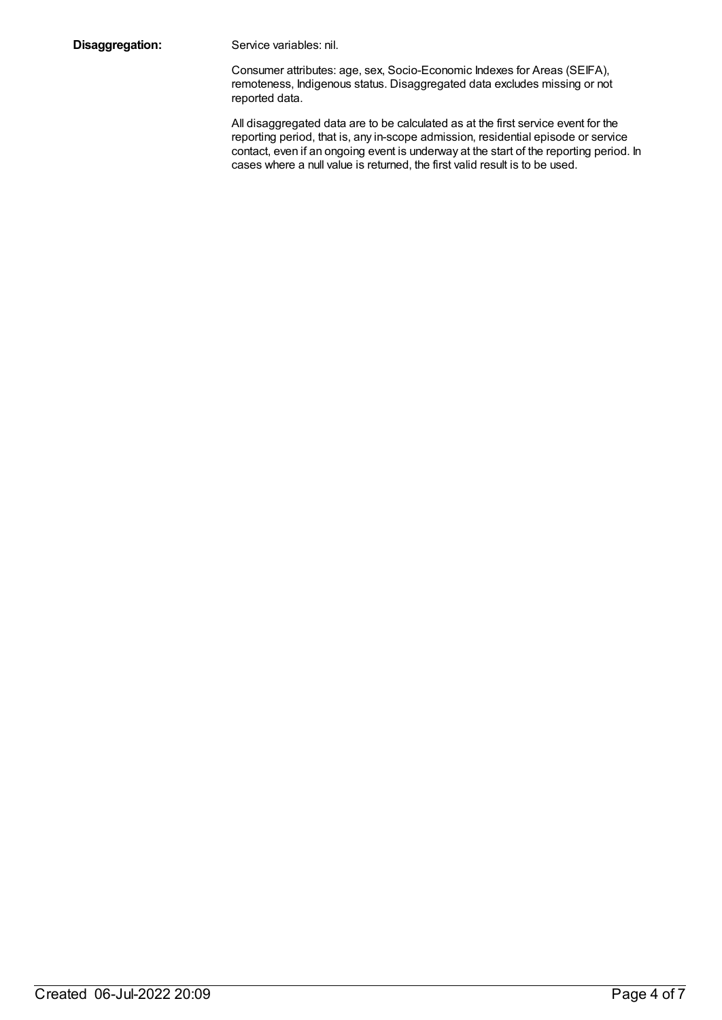**Disaggregation:** Service variables: nil.

Consumer attributes: age, sex, Socio-Economic Indexes for Areas (SEIFA), remoteness, Indigenous status. Disaggregated data excludes missing or not reported data.

All disaggregated data are to be calculated as at the first service event for the reporting period, that is, any in-scope admission, residential episode or service contact, even if an ongoing event is underway at the start of the reporting period. In cases where a null value is returned, the first valid result is to be used.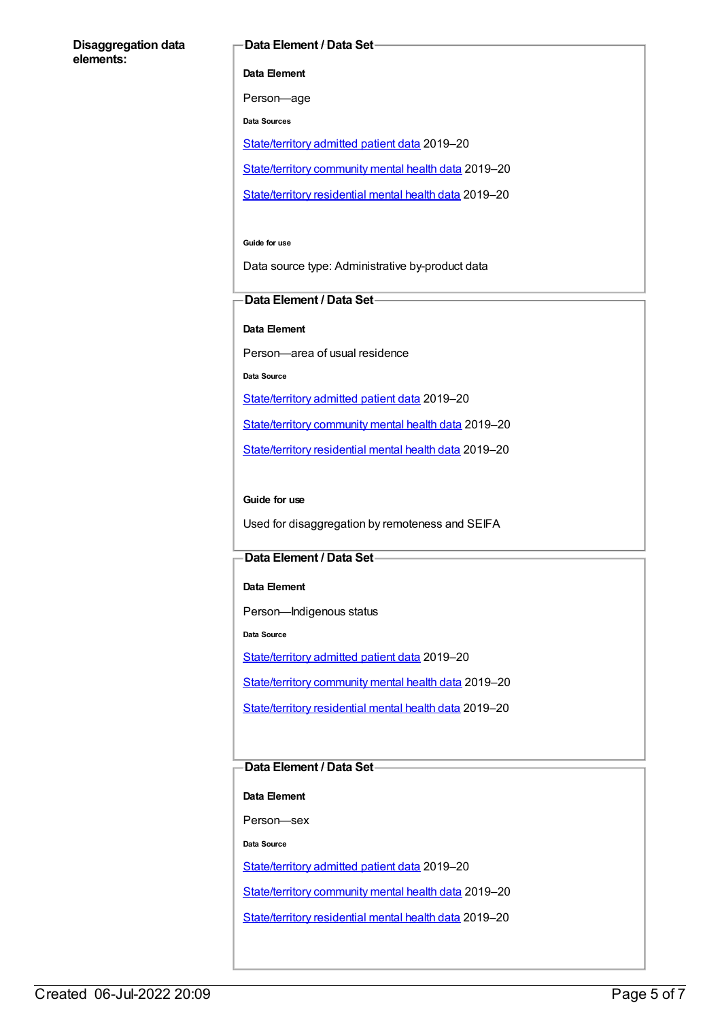#### **Disaggregation data elements:**

#### **Data Element / Data Set**

**Data Element**

Person—age

**Data Sources**

[State/territory](file:///content/426458) admitted patient data 2019–20

[State/territory](file:///content/402135) community mental health data 2019–20

[State/territory](file:///content/630460) residential mental health data 2019–20

**Guide for use**

Data source type: Administrative by-product data

#### **Data Element / Data Set**

**Data Element**

Person—area of usual residence

**Data Source**

[State/territory](file:///content/426458) admitted patient data 2019–20

[State/territory](file:///content/402135) community mental health data 2019–20

[State/territory](file:///content/630460) residential mental health data 2019–20

#### **Guide for use**

Used for disaggregation by remoteness and SEIFA

#### **Data Element / Data Set**

**Data Element**

Person—Indigenous status

**Data Source**

[State/territory](file:///content/426458) admitted patient data 2019–20

[State/territory](file:///content/402135) community mental health data 2019–20

[State/territory](file:///content/630460) residential mental health data 2019–20

### **Data Element / Data Set**

**Data Element**

Person—sex

**Data Source**

[State/territory](file:///content/426458) admitted patient data 2019–20

[State/territory](file:///content/402135) community mental health data 2019–20

[State/territory](file:///content/630460) residential mental health data 2019–20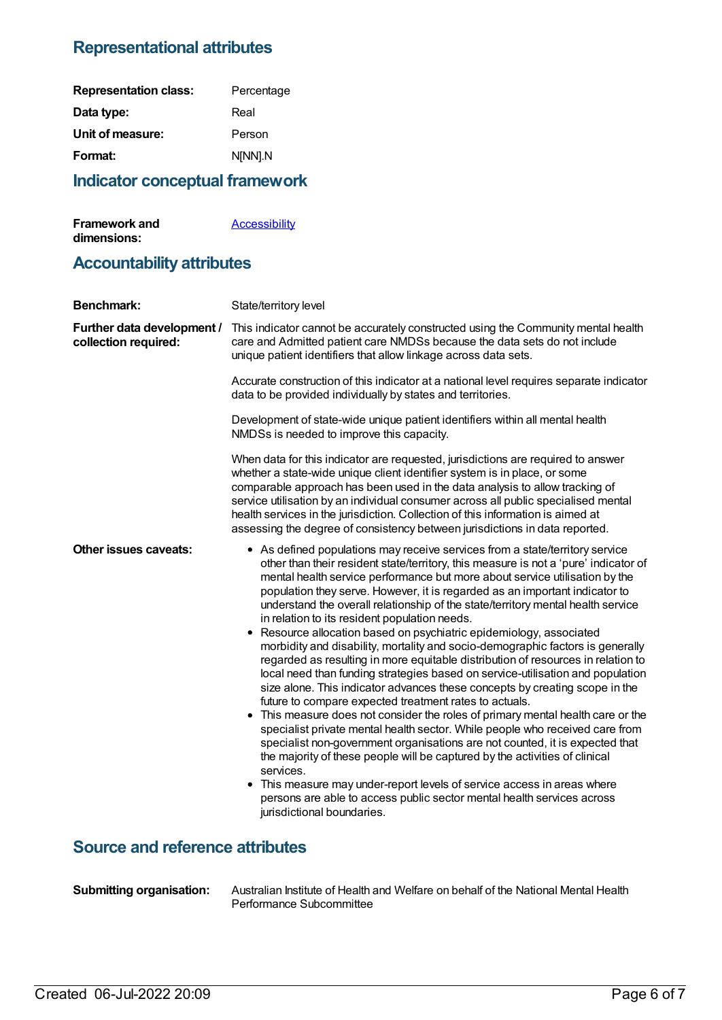# **Representational attributes**

| <b>Representation class:</b> | Percentage |
|------------------------------|------------|
| Data type:                   | Real       |
| Unit of measure:             | Person     |
| Format:                      | N[NN].N    |
|                              |            |

# **Indicator conceptual framework**

| <b>Framework and</b> | <b>Accessibility</b> |
|----------------------|----------------------|
| dimensions:          |                      |

# **Accountability attributes**

| <b>Benchmark:</b>                                  | State/territory level                                                                                                                                                                                                                                                                                                                                                                                                                                                                                                                                                                                                                                                                                                                                                                                                                                                                                                                                                                                                                                                                                                                                                                                                                                                                                                                                                                                                                                                                |
|----------------------------------------------------|--------------------------------------------------------------------------------------------------------------------------------------------------------------------------------------------------------------------------------------------------------------------------------------------------------------------------------------------------------------------------------------------------------------------------------------------------------------------------------------------------------------------------------------------------------------------------------------------------------------------------------------------------------------------------------------------------------------------------------------------------------------------------------------------------------------------------------------------------------------------------------------------------------------------------------------------------------------------------------------------------------------------------------------------------------------------------------------------------------------------------------------------------------------------------------------------------------------------------------------------------------------------------------------------------------------------------------------------------------------------------------------------------------------------------------------------------------------------------------------|
| Further data development /<br>collection required: | This indicator cannot be accurately constructed using the Community mental health<br>care and Admitted patient care NMDSs because the data sets do not include<br>unique patient identifiers that allow linkage across data sets.                                                                                                                                                                                                                                                                                                                                                                                                                                                                                                                                                                                                                                                                                                                                                                                                                                                                                                                                                                                                                                                                                                                                                                                                                                                    |
|                                                    | Accurate construction of this indicator at a national level requires separate indicator<br>data to be provided individually by states and territories.                                                                                                                                                                                                                                                                                                                                                                                                                                                                                                                                                                                                                                                                                                                                                                                                                                                                                                                                                                                                                                                                                                                                                                                                                                                                                                                               |
|                                                    | Development of state-wide unique patient identifiers within all mental health<br>NMDSs is needed to improve this capacity.                                                                                                                                                                                                                                                                                                                                                                                                                                                                                                                                                                                                                                                                                                                                                                                                                                                                                                                                                                                                                                                                                                                                                                                                                                                                                                                                                           |
|                                                    | When data for this indicator are requested, jurisdictions are required to answer<br>whether a state-wide unique client identifier system is in place, or some<br>comparable approach has been used in the data analysis to allow tracking of<br>service utilisation by an individual consumer across all public specialised mental<br>health services in the jurisdiction. Collection of this information is aimed at<br>assessing the degree of consistency between jurisdictions in data reported.                                                                                                                                                                                                                                                                                                                                                                                                                                                                                                                                                                                                                                                                                                                                                                                                                                                                                                                                                                                 |
| Other issues caveats:                              | • As defined populations may receive services from a state/territory service<br>other than their resident state/territory, this measure is not a 'pure' indicator of<br>mental health service performance but more about service utilisation by the<br>population they serve. However, it is regarded as an important indicator to<br>understand the overall relationship of the state/territory mental health service<br>in relation to its resident population needs.<br>Resource allocation based on psychiatric epidemiology, associated<br>٠<br>morbidity and disability, mortality and socio-demographic factors is generally<br>regarded as resulting in more equitable distribution of resources in relation to<br>local need than funding strategies based on service-utilisation and population<br>size alone. This indicator advances these concepts by creating scope in the<br>future to compare expected treatment rates to actuals.<br>• This measure does not consider the roles of primary mental health care or the<br>specialist private mental health sector. While people who received care from<br>specialist non-government organisations are not counted, it is expected that<br>the majority of these people will be captured by the activities of clinical<br>services.<br>• This measure may under-report levels of service access in areas where<br>persons are able to access public sector mental health services across<br>jurisdictional boundaries. |
| <b>Source and reference attributes</b>             |                                                                                                                                                                                                                                                                                                                                                                                                                                                                                                                                                                                                                                                                                                                                                                                                                                                                                                                                                                                                                                                                                                                                                                                                                                                                                                                                                                                                                                                                                      |

**Submitting organisation:** Australian Institute of Health and Welfare on behalf of the National Mental Health Performance Subcommittee